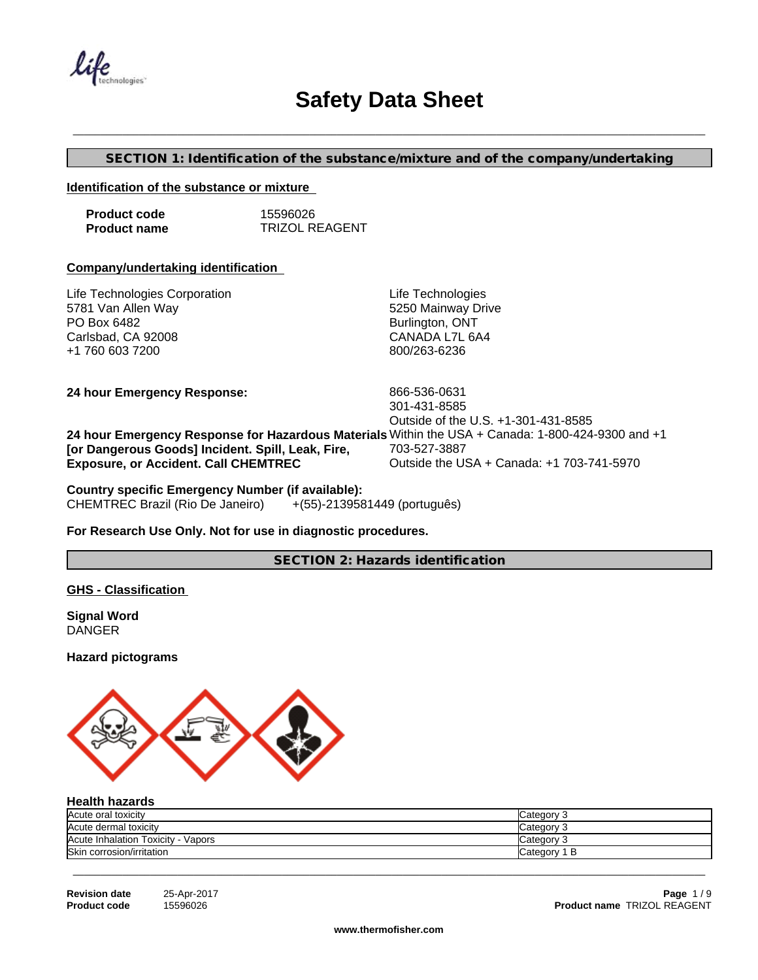$\mathcal{U}$ ife

## **Safety Data Sheet**

## **SECTION 1: Identification of the substance/mixture and of the company/undertaking**

\_\_\_\_\_\_\_\_\_\_\_\_\_\_\_\_\_\_\_\_\_\_\_\_\_\_\_\_\_\_\_\_\_\_\_\_\_\_\_\_\_\_\_\_\_\_\_\_\_\_\_\_\_\_\_\_\_\_\_\_\_\_\_\_\_\_\_\_\_\_\_\_\_\_\_\_\_\_\_\_\_\_\_\_\_\_\_\_\_\_\_\_\_\_\_\_\_\_\_\_\_\_\_\_\_\_\_\_\_\_\_\_\_\_\_

#### **Identification of the substance or mixture**

| <b>Product code</b> | 15596026              |
|---------------------|-----------------------|
| <b>Product name</b> | <b>TRIZOL REAGENT</b> |

#### **Company/undertaking identification**

| Life Technologies                                                                                 |
|---------------------------------------------------------------------------------------------------|
| 5250 Mainway Drive                                                                                |
| Burlington, ONT                                                                                   |
| CANADA L7L 6A4                                                                                    |
| 800/263-6236                                                                                      |
|                                                                                                   |
| 866-536-0631                                                                                      |
| 301-431-8585                                                                                      |
| Outside of the U.S. +1-301-431-8585                                                               |
| 24 hour Emergency Response for Hazardous Materials Within the USA + Canada: 1-800-424-9300 and +1 |
| 703-527-3887                                                                                      |
| Outside the USA + Canada: +1 703-741-5970                                                         |
|                                                                                                   |

# **Country specific Emergency Number (if available):**

CHEMTREC Brazil (Rio De Janeiro)

## **For Research Use Only. Not for use in diagnostic procedures.**

**SECTION 2: Hazards identification**

## **GHS - Classification**

**Signal Word DANGER** 

## **Hazard pictograms**



## **Health hazards**

| Acute oral toxicity                   | ;ateαor∖ |
|---------------------------------------|----------|
| Acute dermal toxicity                 | ategory  |
| Acute Inhalation Toxicity -<br>Vapors | :ategory |
| <b>Skin</b><br>corrosion/irritation   | `ate∩∩rv |

| <b>Revision date</b> | 25-Apr-20 |
|----------------------|-----------|
| <b>Product code</b>  | 15596026  |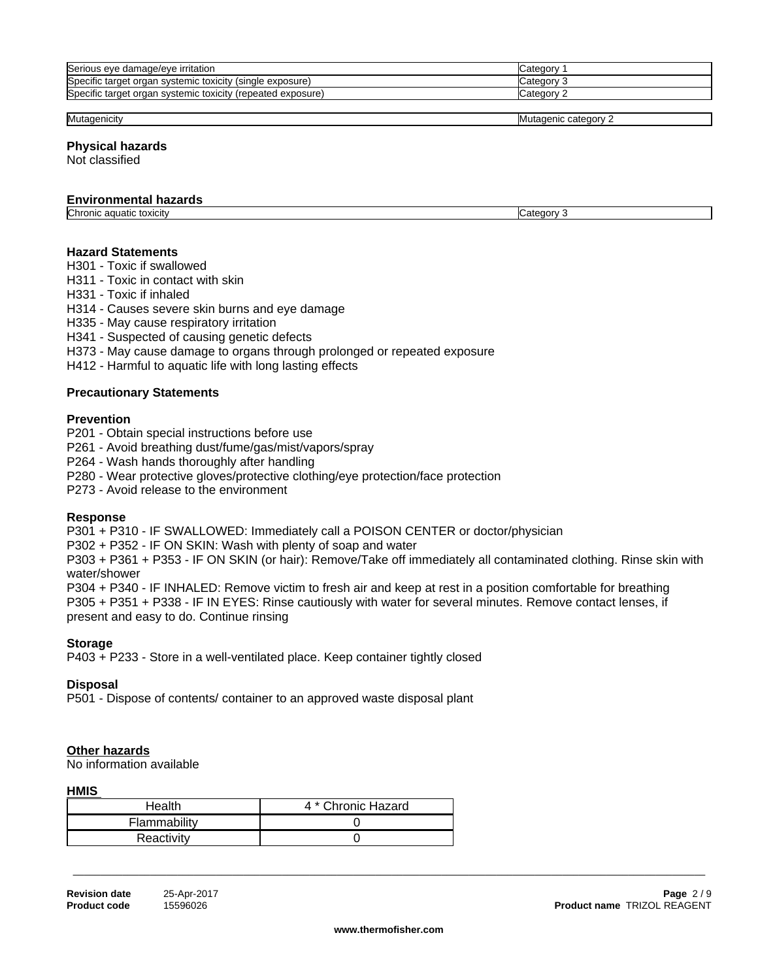| Serious eye damage/eye irritation                           | Category              |
|-------------------------------------------------------------|-----------------------|
| Specific target organ systemic toxicity (single exposure)   | Category <sup>-</sup> |
| Specific target organ systemic toxicity (repeated exposure) | Category ?            |
|                                                             |                       |

Mutagenicity **Mutagenicity** Mutagenicity **Mutagenicity Mutagenicity Mutagenicity Mutagenicity Mutagenicity 2** 

#### **Physical hazards**

Not classified

#### **Environmental hazards**

Chronic aquatic toxicity Category 3

**Hazard Statements**

H301 - Toxic if swallowed

H311 - Toxic in contact with skin

H331 - Toxic if inhaled

H314 - Causes severe skin burns and eye damage

H335 - May cause respiratory irritation

H341 - Suspected of causing genetic defects

H373 - May cause damage to organs through prolonged or repeated exposure

H412 - Harmful to aquatic life with long lasting effects

#### **Precautionary Statements**

#### **Prevention**

P201 - Obtain special instructions before use

P261 - Avoid breathing dust/fume/gas/mist/vapors/spray

P264 - Wash hands thoroughly after handling

P280 - Wear protective gloves/protective clothing/eye protection/face protection

P273 - Avoid release to the environment

#### **Response**

P301 + P310 - IF SWALLOWED: Immediately call a POISON CENTER or doctor/physician

P302 + P352 - IF ON SKIN: Wash with plenty of soap and water

P303 + P361 + P353 - IF ON SKIN (or hair): Remove/Take off immediately all contaminated clothing. Rinse skin with water/shower

P304 + P340 - IF INHALED: Remove victim to fresh air and keep atrest in a position comfortable for breathing P305 + P351 + P338 - IF IN EYES: Rinse cautiously with water for several minutes. Remove contact lenses, if present and easy to do. Continue rinsing

#### **Storage**

P403 + P233 - Store in a well-ventilated place. Keep container tightly closed

#### **Disposal**

P501 - Dispose of contents/ container to an approved waste disposal plant

#### **Other hazards**

No information available

#### **HMIS**

| Health       | 4 * Chronic Hazard |
|--------------|--------------------|
| Flammability |                    |
| Reactivity   |                    |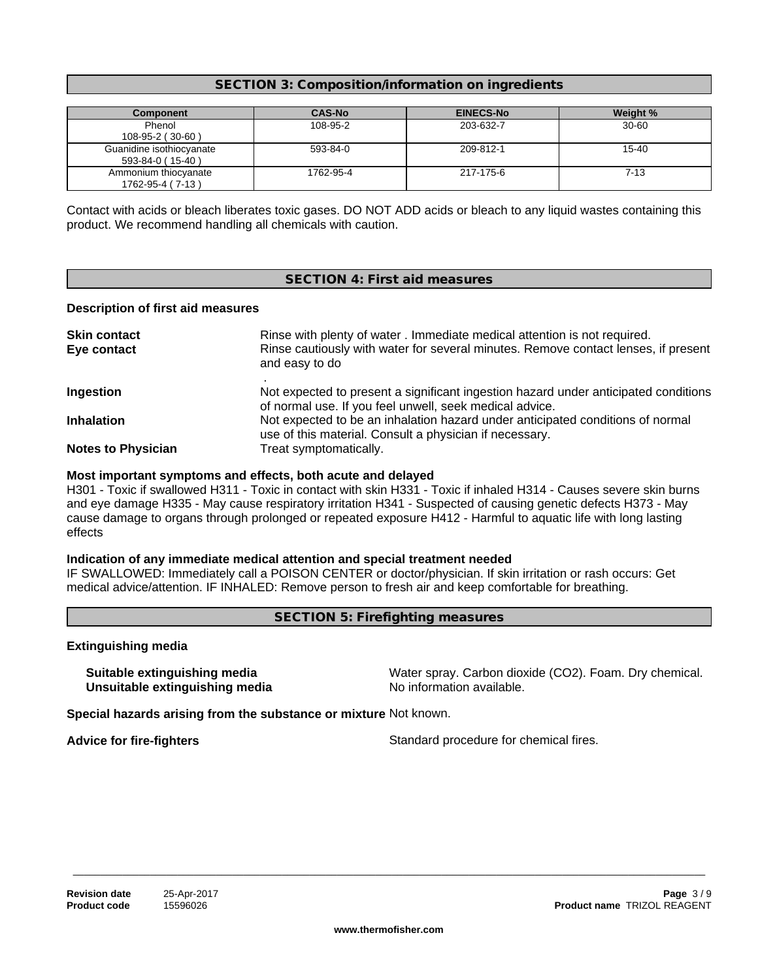## **SECTION 3: Composition/information on ingredients**

| Component                                    | <b>CAS-No</b> | <b>EINECS-No</b> | Weight %  |
|----------------------------------------------|---------------|------------------|-----------|
| Phenol<br>108-95-2 (30-60)                   | 108-95-2      | 203-632-7        | $30 - 60$ |
| Guanidine isothiocyanate<br>593-84-0 (15-40) | 593-84-0      | 209-812-1        | 15-40     |
| Ammonium thiocyanate<br>1762-95-4 (7-13)     | 1762-95-4     | 217-175-6        | 7-13      |

Contact with acids or bleach liberates toxic gases. DO NOT ADD acids or bleach to any liquid wastes containing this product. We recommend handling all chemicals with caution.

## **SECTION 4: First aid measures**

#### **Description of first aid measures**

| <b>Skin contact</b><br>Eye contact | Rinse with plenty of water . Immediate medical attention is not required.<br>Rinse cautiously with water for several minutes. Remove contact lenses, if present<br>and easy to do |
|------------------------------------|-----------------------------------------------------------------------------------------------------------------------------------------------------------------------------------|
| Ingestion                          | Not expected to present a significant ingestion hazard under anticipated conditions<br>of normal use. If you feel unwell, seek medical advice.                                    |
| <b>Inhalation</b>                  | Not expected to be an inhalation hazard under anticipated conditions of normal<br>use of this material. Consult a physician if necessary.                                         |
| <b>Notes to Physician</b>          | Treat symptomatically.                                                                                                                                                            |

#### **Most important symptoms and effects, both acute and delayed**

H301 - Toxic if swallowed H311 - Toxic in contact with skin H331 - Toxic if inhaled H314 - Causes severe skin burns and eye damage H335 - May cause respiratory irritation H341 - Suspected of causing genetic defects H373 - May cause damage to organs through prolonged or repeated exposure H412 - Harmful to aquatic life with long lasting effects

## **Indication of any immediate medical attention and special treatment needed**

IF SWALLOWED: Immediately call a POISON CENTER or doctor/physician. If skin irritation or rash occurs: Get medical advice/attention. IF INHALED: Remove person to fresh air and keep comfortable for breathing.

**SECTION 5: Firefighting measures**

## **Extinguishing media**

**Unsuitable extinguishing media** 

**Suitable extinguishing media** Water spray. Carbon dioxide (CO2). Foam. Dry chemical.<br> **Unsuitable extinguishing media** Water Show information available.

**Special hazards arising from the substance or mixture** Not known.

**Advice for fire-fighters**  $\qquad \qquad$  Standard procedure for chemical fires.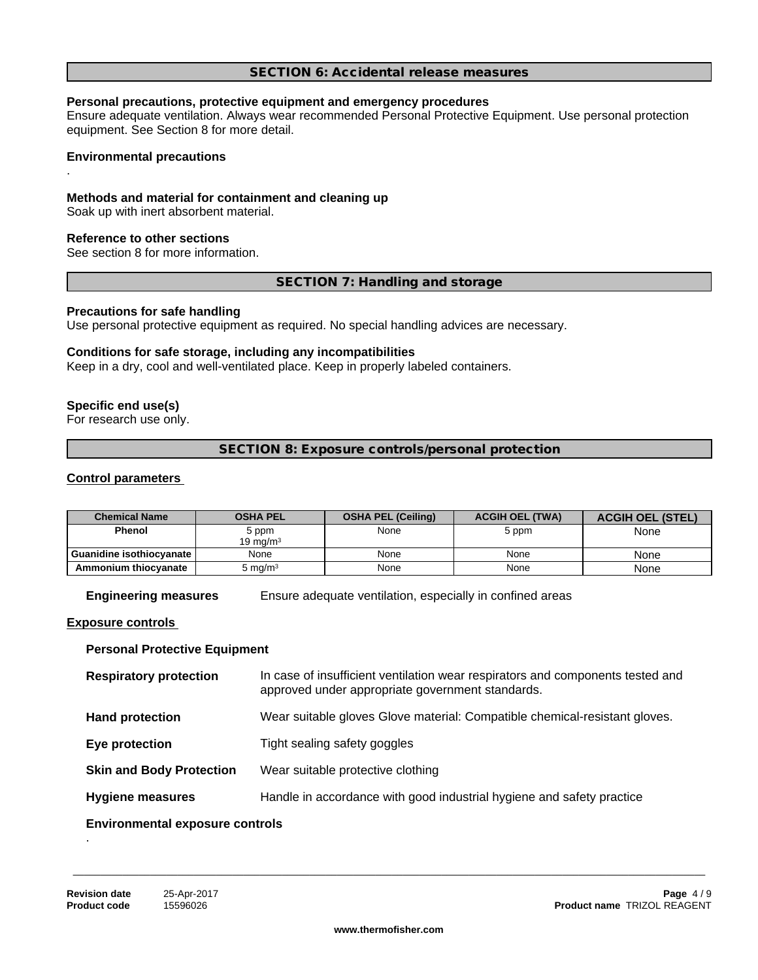#### **SECTION 6: Accidental release measures**

#### **Personal precautions, protective equipment and emergency procedures**

Ensure adequate ventilation. Always wear recommended Personal Protective Equipment.Use personal protection equipment. See Section 8 for more detail.

**Environmental precautions**

.

#### **Methods and material for containment and cleaning up**

Soak up with inert absorbent material.

#### **Reference to other sections**

See section 8 for more information.

#### **SECTION 7: Handling and storage**

#### **Precautions for safe handling**

Use personal protective equipment as required. No special handling advices are necessary.

#### **Conditions for safe storage, including any incompatibilities**

Keep in a dry, cool and well-ventilated place. Keep in properly labeled containers.

#### **Specific end use(s)**

For research use only.

**SECTION 8: Exposure controls/personal protection**

## **Control parameters**

| <b>Chemical Name</b>     | <b>OSHA PEL</b>      | <b>OSHA PEL (Ceiling)</b> | <b>ACGIH OEL (TWA)</b> | <b>ACGIH OEL (STEL)</b> |
|--------------------------|----------------------|---------------------------|------------------------|-------------------------|
| Phenol                   | 5 ppm<br>19 ma/m $3$ | None                      | 5 ppm                  | None                    |
| Guanidine isothiocvanate | None                 | None                      | None                   | None                    |
| Ammonium thiocyanate     | $5 \text{ ma/m}^3$   | None                      | None                   | None                    |

**Engineering measures** Ensure adequate ventilation, especially in confined areas

#### **Exposure controls**

#### **Personal Protective Equipment**

| <b>Respiratory protection</b>   | In case of insufficient ventilation wear respirators and components tested and<br>approved under appropriate government standards. |  |  |
|---------------------------------|------------------------------------------------------------------------------------------------------------------------------------|--|--|
| <b>Hand protection</b>          | Wear suitable gloves Glove material: Compatible chemical-resistant gloves.                                                         |  |  |
| Eye protection                  | Tight sealing safety goggles                                                                                                       |  |  |
| <b>Skin and Body Protection</b> | Wear suitable protective clothing                                                                                                  |  |  |
| <b>Hygiene measures</b>         | Handle in accordance with good industrial hygiene and safety practice                                                              |  |  |
|                                 |                                                                                                                                    |  |  |

#### **Environmental exposure controls** .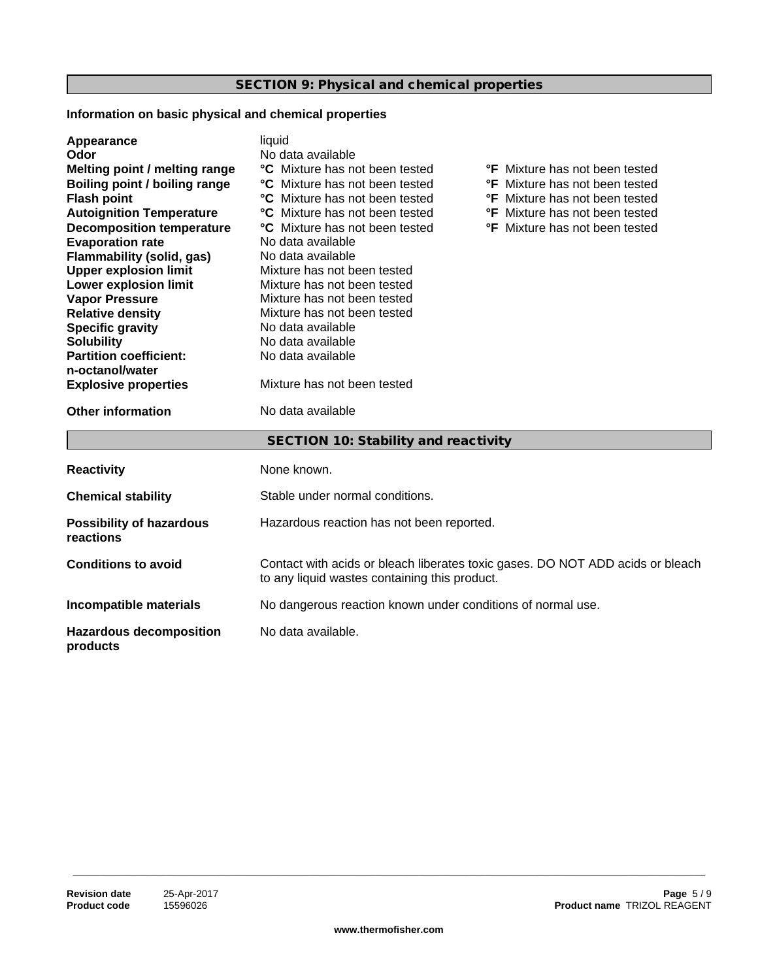## **SECTION 9: Physical and chemical properties**

## **Information on basic physical and chemical properties**

| Appearance<br>Odor<br>Melting point / melting range<br><b>Boiling point / boiling range</b><br><b>Flash point</b><br><b>Autoignition Temperature</b><br><b>Decomposition temperature</b><br><b>Evaporation rate</b><br><b>Flammability (solid, gas)</b><br><b>Upper explosion limit</b><br>Lower explosion limit<br><b>Vapor Pressure</b><br><b>Relative density</b><br><b>Specific gravity</b><br><b>Solubility</b><br><b>Partition coefficient:</b><br>n-octanol/water<br><b>Explosive properties</b> | liquid<br>No data available<br><b>°C</b> Mixture has not been tested<br><b>C</b> Mixture has not been tested<br><b>C</b> Mixture has not been tested<br>°C Mixture has not been tested<br>°C Mixture has not been tested<br>No data available<br>No data available<br>Mixture has not been tested<br>Mixture has not been tested<br>Mixture has not been tested<br>Mixture has not been tested<br>No data available<br>No data available<br>No data available<br>Mixture has not been tested | <b>°F</b> Mixture has not been tested<br><b>°F</b> Mixture has not been tested<br><b>°F</b> Mixture has not been tested<br><b>°F</b> Mixture has not been tested<br><b>°F</b> Mixture has not been tested |  |
|---------------------------------------------------------------------------------------------------------------------------------------------------------------------------------------------------------------------------------------------------------------------------------------------------------------------------------------------------------------------------------------------------------------------------------------------------------------------------------------------------------|----------------------------------------------------------------------------------------------------------------------------------------------------------------------------------------------------------------------------------------------------------------------------------------------------------------------------------------------------------------------------------------------------------------------------------------------------------------------------------------------|-----------------------------------------------------------------------------------------------------------------------------------------------------------------------------------------------------------|--|
| <b>Other information</b>                                                                                                                                                                                                                                                                                                                                                                                                                                                                                | No data available                                                                                                                                                                                                                                                                                                                                                                                                                                                                            |                                                                                                                                                                                                           |  |
|                                                                                                                                                                                                                                                                                                                                                                                                                                                                                                         | SECTION 10: Stability and reactivity                                                                                                                                                                                                                                                                                                                                                                                                                                                         |                                                                                                                                                                                                           |  |
| <b>Reactivity</b>                                                                                                                                                                                                                                                                                                                                                                                                                                                                                       | None known.                                                                                                                                                                                                                                                                                                                                                                                                                                                                                  |                                                                                                                                                                                                           |  |
| <b>Chemical stability</b>                                                                                                                                                                                                                                                                                                                                                                                                                                                                               | Stable under normal conditions.                                                                                                                                                                                                                                                                                                                                                                                                                                                              |                                                                                                                                                                                                           |  |
| <b>Possibility of hazardous</b><br>reactions                                                                                                                                                                                                                                                                                                                                                                                                                                                            | Hazardous reaction has not been reported.                                                                                                                                                                                                                                                                                                                                                                                                                                                    |                                                                                                                                                                                                           |  |
| <b>Conditions to avoid</b>                                                                                                                                                                                                                                                                                                                                                                                                                                                                              | Contact with acids or bleach liberates toxic gases. DO NOT ADD acids or bleach<br>to any liquid wastes containing this product.                                                                                                                                                                                                                                                                                                                                                              |                                                                                                                                                                                                           |  |
| Incompatible materials                                                                                                                                                                                                                                                                                                                                                                                                                                                                                  | No dangerous reaction known under conditions of normal use.                                                                                                                                                                                                                                                                                                                                                                                                                                  |                                                                                                                                                                                                           |  |
| <b>Hazardous decomposition</b><br>products                                                                                                                                                                                                                                                                                                                                                                                                                                                              | No data available.                                                                                                                                                                                                                                                                                                                                                                                                                                                                           |                                                                                                                                                                                                           |  |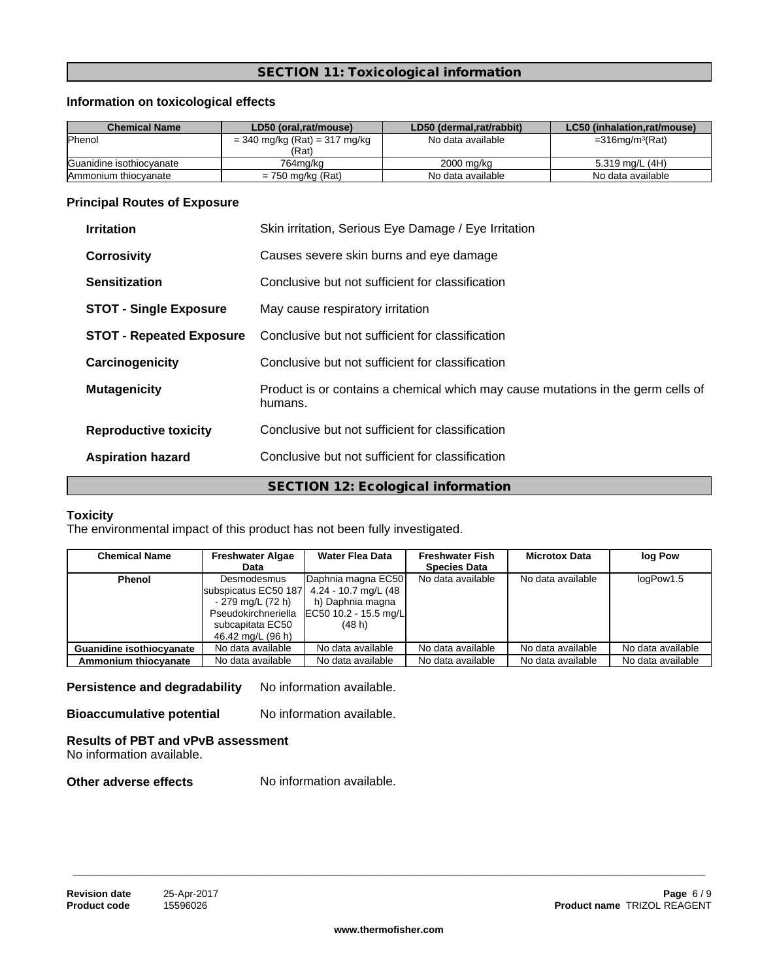## **SECTION 11: Toxicological information**

## **Information on toxicological effects**

| <b>Chemical Name</b>     | LD50 (oral.rat/mouse)                      | LD50 (dermal.rat/rabbit) | LC50 (inhalation.rat/mouse)    |
|--------------------------|--------------------------------------------|--------------------------|--------------------------------|
| <b>Phenol</b>            | $= 340$ mg/kg (Rat) $= 317$ mg/kg<br>(Rat) | No data available        | $=$ 316mg/m <sup>3</sup> (Rat) |
| Guanidine isothiocvanate | 764ma/ka                                   | 2000 mg/kg               | 5.319 mg/L (4H)                |
| Ammonium thiocyanate     | $= 750$ mg/kg (Rat)                        | No data available        | No data available              |

## **Principal Routes of Exposure**

| <b>Irritation</b>               | Skin irritation, Serious Eye Damage / Eye Irritation                                        |  |
|---------------------------------|---------------------------------------------------------------------------------------------|--|
| <b>Corrosivity</b>              | Causes severe skin burns and eye damage                                                     |  |
| <b>Sensitization</b>            | Conclusive but not sufficient for classification                                            |  |
| <b>STOT - Single Exposure</b>   | May cause respiratory irritation                                                            |  |
| <b>STOT - Repeated Exposure</b> | Conclusive but not sufficient for classification                                            |  |
| Carcinogenicity                 | Conclusive but not sufficient for classification                                            |  |
| <b>Mutagenicity</b>             | Product is or contains a chemical which may cause mutations in the germ cells of<br>humans. |  |
| <b>Reproductive toxicity</b>    | Conclusive but not sufficient for classification                                            |  |
| <b>Aspiration hazard</b>        | Conclusive but not sufficient for classification                                            |  |
|                                 | SECTION 12: Ecological information                                                          |  |

## **Toxicity**

The environmental impact of this product has not been fully investigated.

| <b>Chemical Name</b>            | <b>Freshwater Algae</b> | <b>Water Flea Data</b>                      | <b>Freshwater Fish</b> | <b>Microtox Data</b> | log Pow           |
|---------------------------------|-------------------------|---------------------------------------------|------------------------|----------------------|-------------------|
|                                 | Data                    |                                             | <b>Species Data</b>    |                      |                   |
| Phenol                          | Desmodesmus             | Daphnia magna EC50                          | No data available      | No data available    | logPow1.5         |
|                                 | subspicatus EC50 187    | 4.24 - 10.7 mg/L (48                        |                        |                      |                   |
|                                 | - 279 mg/L (72 h)       | h) Daphnia magna                            |                        |                      |                   |
|                                 |                         | Pseudokirchneriella   EC50 10.2 - 15.5 mg/L |                        |                      |                   |
|                                 | subcapitata EC50        | (48 h)                                      |                        |                      |                   |
|                                 | 46.42 mg/L (96 h)       |                                             |                        |                      |                   |
| <b>Guanidine isothiocyanate</b> | No data available       | No data available                           | No data available      | No data available    | No data available |
| Ammonium thiocyanate            | No data available       | No data available                           | No data available      | No data available    | No data available |

**Persistence and degradability** No information available.

**Bioaccumulative potential** No information available.

#### **Results of PBT and vPvB assessment** No information available.

**Other adverse effects** No information available.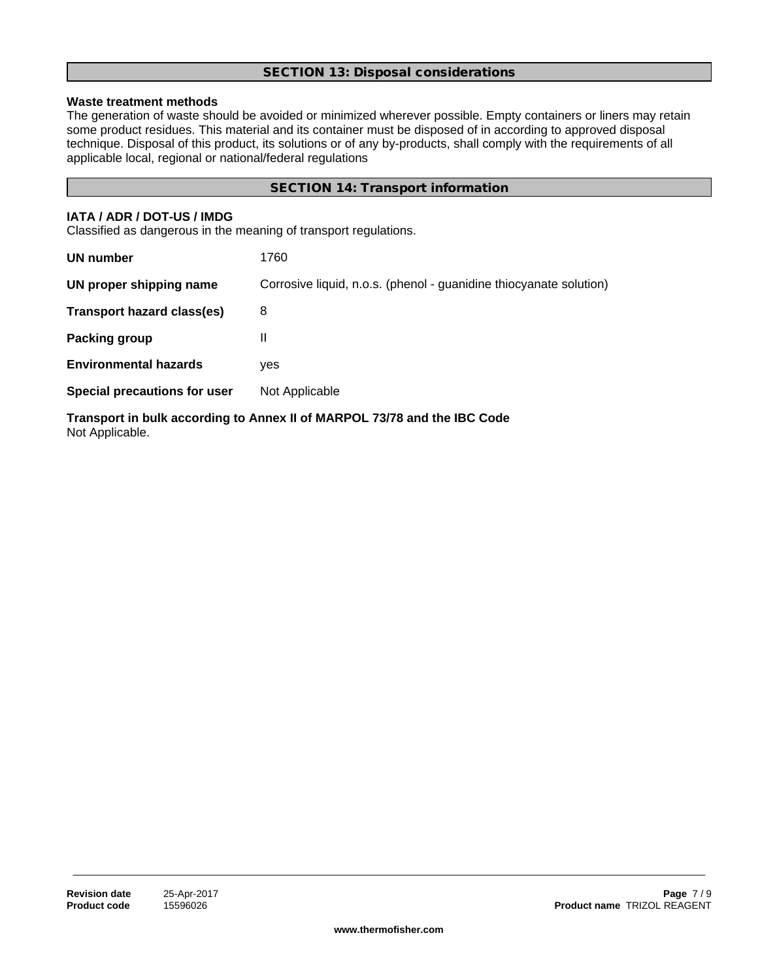## **SECTION 13: Disposal considerations**

## **Waste treatment methods**

The generation of waste should be avoided or minimized wherever possible. Empty containers or liners may retain some product residues. This material and its container must be disposed of in according to approved disposal technique. Disposal of this product, its solutions or of any by-products, shall comply with the requirements of all applicable local, regional or national/federal regulations

## **SECTION 14: Transport information**

#### **IATA / ADR / DOT-US / IMDG**

Classified as dangerous in the meaning of transport regulations.

| <b>UN number</b>                  | 1760                                                               |
|-----------------------------------|--------------------------------------------------------------------|
| UN proper shipping name           | Corrosive liquid, n.o.s. (phenol - guanidine thiocyanate solution) |
| <b>Transport hazard class(es)</b> | 8                                                                  |
| Packing group                     | $\mathbf{H}$                                                       |
| <b>Environmental hazards</b>      | yes                                                                |
| Special precautions for user      | Not Applicable                                                     |
|                                   |                                                                    |

**Transport in bulk according to Annex II of MARPOL 73/78 and the IBC Code** Not Applicable.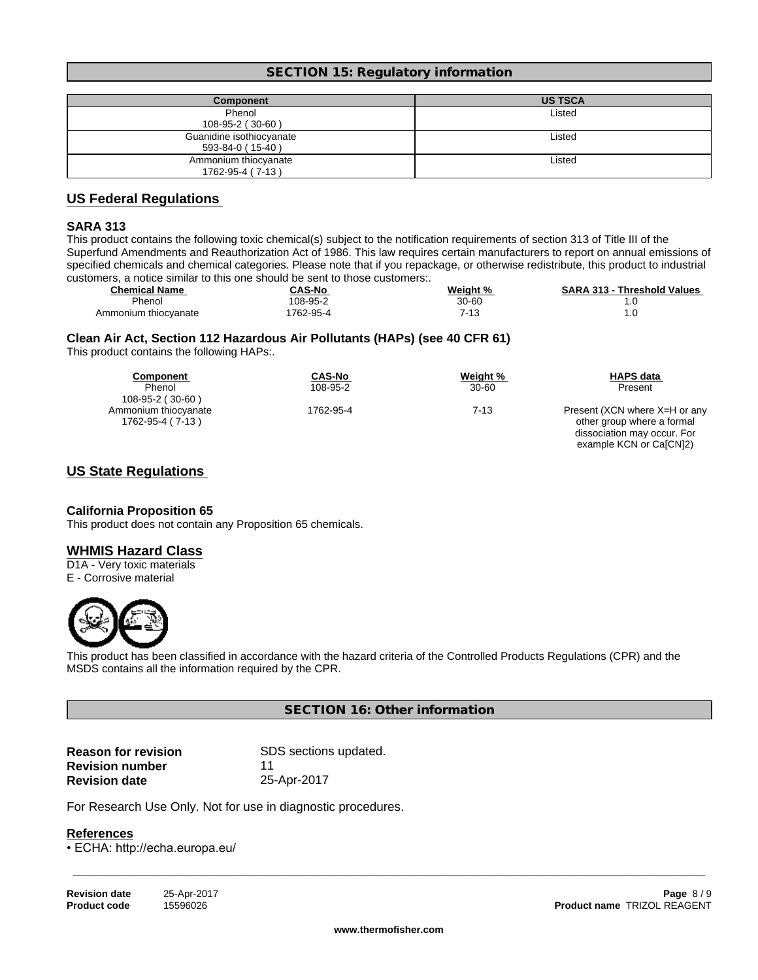#### **SECTION 15: Regulatory information**

| Component                | <b>US TSCA</b> |
|--------------------------|----------------|
| Phenol                   | Listed         |
| 108-95-2 (30-60)         |                |
| Guanidine isothiocyanate | Listed         |
| 593-84-0 (15-40)         |                |
| Ammonium thiocyanate     | Listed         |
| 1762-95-4 (7-13)         |                |

## **US Federal Regulations**

#### **SARA 313**

This product contains the following toxic chemical(s) subject to the notification requirements of section 313 of Title III of the Superfund Amendments and Reauthorization Act of 1986. This law requires certain manufacturers to report on annual emissions of specified chemicals and chemical categories. Please note that if you repackage, or otherwise redistribute, this product to industrial customers, a notice similar to this one should be sent to those customers:.

| <b>Chemical Name</b> | <b>CAS-No</b> | Weight %      | <b>SARA 313 - Threshold Values</b> |
|----------------------|---------------|---------------|------------------------------------|
| Phenol               | 108-95-2      | 30-60         |                                    |
| Ammonium thiocvanate | 762-95-4      | − ⊿ ∩<br>- 13 |                                    |

#### **Clean Air Act,Section 112 Hazardous Air Pollutants (HAPs) (see 40 CFR 61)**

This product contains the following HAPs:.

| Component            | CAS-No    | Weight %  | <b>HAPS data</b>              |
|----------------------|-----------|-----------|-------------------------------|
| Phenol               | 108-95-2  | $30 - 60$ | Present                       |
| 108-95-2 (30-60)     |           |           |                               |
| Ammonium thiocyanate | 1762-95-4 | 7-13      | Present (XCN where X=H or any |
| 1762-95-4 (7-13)     |           |           | other group where a formal    |
|                      |           |           | dissociation may occur. For   |
|                      |           |           | example KCN or Ca[CN]2)       |

## **US State Regulations**

#### **California Proposition 65**

This product does not contain any Proposition 65 chemicals.

#### **WHMIS Hazard Class**

D1A - Very toxic materials E - Corrosive material



This product has been classified in accordance with the hazard criteria of the Controlled Products Regulations (CPR) and the MSDS contains all the information required by the CPR.

#### **SECTION 16: Other information**

| <b>Reason for revision</b> | SDS sections updated. |
|----------------------------|-----------------------|
| <b>Revision number</b>     | 11                    |
| <b>Revision date</b>       | 25-Apr-2017           |

For Research Use Only. Not for use in diagnostic procedures.

#### **References**

• ECHA: http://echa.europa.eu/

| <b>Revision date</b> | 25-Apr-201 |
|----------------------|------------|
| <b>Product code</b>  | 15596026   |